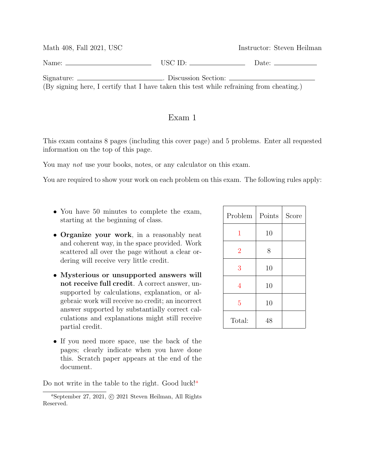| Math 408, Fall 2021, USC                                                                                                                                                     |                             | Instructor: Steven Heilman                                                                                                                                                                                                     |
|------------------------------------------------------------------------------------------------------------------------------------------------------------------------------|-----------------------------|--------------------------------------------------------------------------------------------------------------------------------------------------------------------------------------------------------------------------------|
| Name: $\equiv$                                                                                                                                                               | $\overline{\text{USC ID:}}$ | Date: the contract of the contract of the contract of the contract of the contract of the contract of the contract of the contract of the contract of the contract of the contract of the contract of the contract of the cont |
| Signature: ________________________. Discussion Section: _______________________<br>(By signing here, I certify that I have taken this test while refraining from cheating.) |                             |                                                                                                                                                                                                                                |

## Exam 1

This exam contains 8 pages (including this cover page) and 5 problems. Enter all requested information on the top of this page.

You may *not* use your books, notes, or any calculator on this exam.

You are required to show your work on each problem on this exam. The following rules apply:

- You have 50 minutes to complete the exam, starting at the beginning of class.
- Organize your work, in a reasonably neat and coherent way, in the space provided. Work scattered all over the page without a clear ordering will receive very little credit.
- Mysterious or unsupported answers will not receive full credit. A correct answer, unsupported by calculations, explanation, or algebraic work will receive no credit; an incorrect answer supported by substantially correct calculations and explanations might still receive partial credit.
- If you need more space, use the back of the pages; clearly indicate when you have done this. Scratch paper appears at the end of the document.

Do not write in the table to the right. Good luck!<sup>*a*</sup>

| Problem        | Points | Score |
|----------------|--------|-------|
| 1              | 10     |       |
| $\overline{2}$ | 8      |       |
| 3              | 10     |       |
| 4              | 10     |       |
| $\overline{5}$ | 10     |       |
| Total:         | 48     |       |

<sup>a</sup>September 27, 2021, c 2021 Steven Heilman, All Rights Reserved.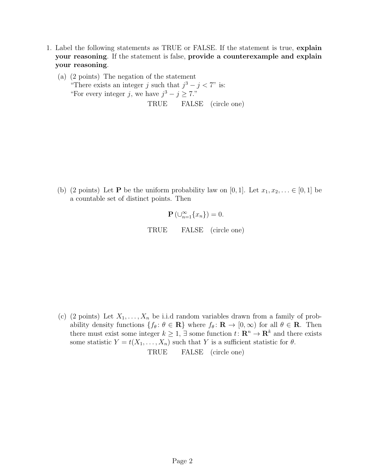- <span id="page-1-0"></span>1. Label the following statements as TRUE or FALSE. If the statement is true, explain your reasoning. If the statement is false, provide a counterexample and explain your reasoning.
	- (a) (2 points) The negation of the statement "There exists an integer j such that  $j^3 - j < 7$ " is: "For every integer j, we have  $j^3 - j \ge 7$ ." TRUE FALSE (circle one)

(b) (2 points) Let **P** be the uniform probability law on [0, 1]. Let  $x_1, x_2, \ldots \in [0, 1]$  be a countable set of distinct points. Then

$$
\mathbf{P}\left(\cup_{n=1}^{\infty}\{x_n\}\right)=0.
$$

TRUE FALSE (circle one)

(c) (2 points) Let  $X_1, \ldots, X_n$  be i.i.d random variables drawn from a family of probability density functions  $\{f_\theta: \theta \in \mathbf{R}\}\$  where  $f_\theta: \mathbf{R} \to [0, \infty)$  for all  $\theta \in \mathbf{R}$ . Then there must exist some integer  $k \geq 1$ ,  $\exists$  some function  $t: \mathbb{R}^n \to \mathbb{R}^k$  and there exists some statistic  $Y = t(X_1, \ldots, X_n)$  such that Y is a sufficient statistic for  $\theta$ . TRUE FALSE (circle one)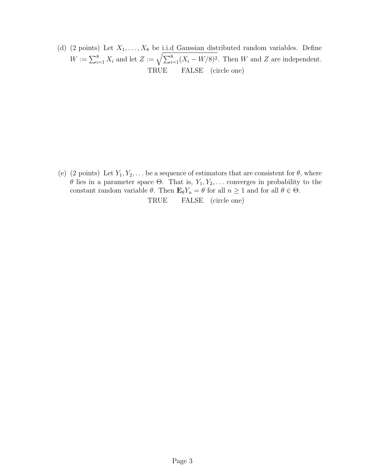(d) (2 points) Let  $X_1, \ldots, X_8$  be i.i.d Gaussian distributed random variables. Define  $W := \sum_{i=1}^{8} X_i$  and let  $Z := \sqrt{\sum_{i=1}^{8} (X_i - W/8)^2}$ . Then W and Z are independent. TRUE FALSE (circle one)

(e) (2 points) Let  $Y_1, Y_2, \ldots$  be a sequence of estimators that are consistent for  $\theta$ , where θ lies in a parameter space Θ. That is,  $Y_1, Y_2, \ldots$  converges in probability to the constant random variable  $\theta$ . Then  $\mathbf{E}_{\theta}Y_n = \theta$  for all  $n \geq 1$  and for all  $\theta \in \Theta$ .

TRUE FALSE (circle one)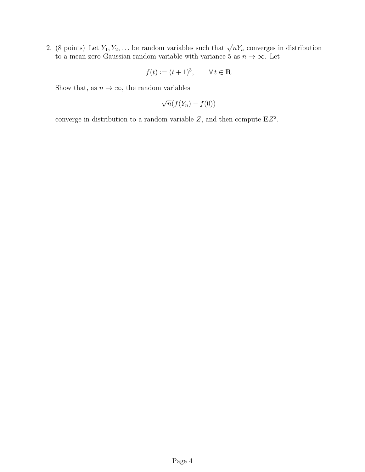<span id="page-3-0"></span>2. (8 points) Let  $Y_1, Y_2, \ldots$  be random variables such that  $\sqrt{n}Y_n$  converges in distribution to a mean zero Gaussian random variable with variance 5 as  $n \to \infty$ . Let

$$
f(t) := (t+1)^3, \qquad \forall \, t \in \mathbf{R}
$$

Show that, as  $n \to \infty$ , the random variables

$$
\sqrt{n}(f(Y_n) - f(0))
$$

converge in distribution to a random variable Z, and then compute  $EZ^2$ .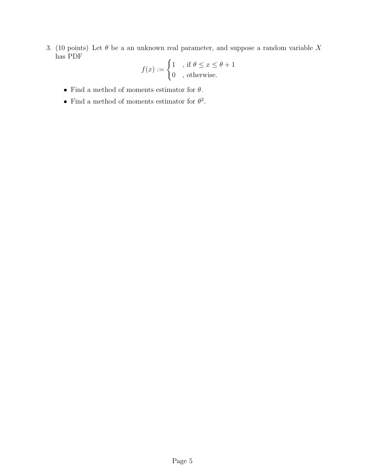<span id="page-4-0"></span>3. (10 points) Let  $\theta$  be a an unknown real parameter, and suppose a random variable X has PDF

$$
f(x) := \begin{cases} 1, & \text{if } \theta \le x \le \theta + 1 \\ 0, & \text{otherwise.} \end{cases}
$$

- $\bullet\,$  Find a method of moments estimator for  $\theta.$
- Find a method of moments estimator for  $\theta^2$ .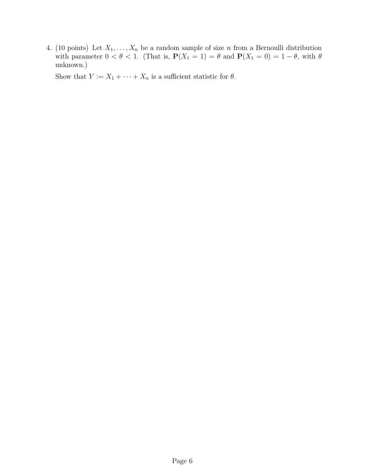<span id="page-5-0"></span>4. (10 points) Let  $X_1, \ldots, X_n$  be a random sample of size n from a Bernoulli distribution with parameter  $0 < \theta < 1$ . (That is,  $P(X_1 = 1) = \theta$  and  $P(X_1 = 0) = 1 - \theta$ , with  $\theta$ unknown.)

Show that  $Y := X_1 + \cdots + X_n$  is a sufficient statistic for  $\theta$ .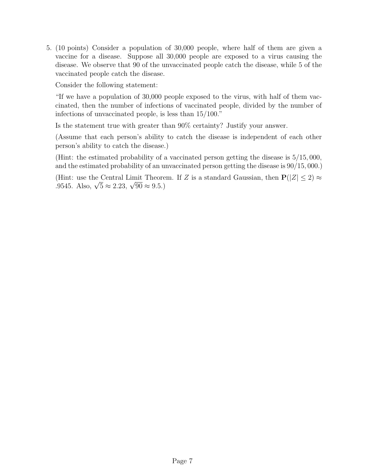<span id="page-6-0"></span>5. (10 points) Consider a population of 30,000 people, where half of them are given a vaccine for a disease. Suppose all 30,000 people are exposed to a virus causing the disease. We observe that 90 of the unvaccinated people catch the disease, while 5 of the vaccinated people catch the disease.

Consider the following statement:

"If we have a population of 30,000 people exposed to the virus, with half of them vaccinated, then the number of infections of vaccinated people, divided by the number of infections of unvaccinated people, is less than 15/100."

Is the statement true with greater than 90% certainty? Justify your answer.

(Assume that each person's ability to catch the disease is independent of each other person's ability to catch the disease.)

(Hint: the estimated probability of a vaccinated person getting the disease is 5/15, 000, and the estimated probability of an unvaccinated person getting the disease is 90/15, 000.)

(Hint: use the Central Limit Theorem. If Z is a standard Gaussian, then  $P(|Z| \leq 2) \approx$ (Hint: use the Central Limit Theore<br>.9545. Also,  $\sqrt{5} \approx 2.23$ ,  $\sqrt{90} \approx 9.5$ .)